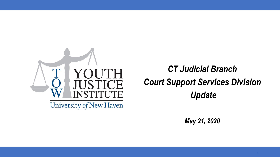

## *CT Judicial Branch Court Support Services Division Update*

*May 21, 2020*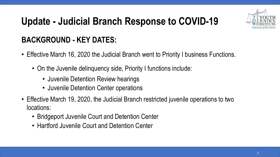

### **BACKGROUND - KEY DATES:**

- Effective March 16, 2020 the Judicial Branch went to Priority I business Functions.
	- On the Juvenile delinquency side, Priority I functions include:
		- Juvenile Detention Review hearings
		- Juvenile Detention Center operations
- Effective March 19, 2020, the Judicial Branch restricted juvenile operations to two locations:
	- Bridgeport Juvenile Court and Detention Center
	- Hartford Juvenile Court and Detention Center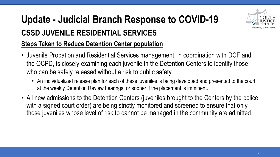## **Update - Judicial Branch Response to COVID-19 CSSD JUVENILE RESIDENTIAL SERVICES**



#### **Steps Taken to Reduce Detention Center population**

- Juvenile Probation and Residential Services management, in coordination with DCF and the OCPD, is closely examining each juvenile in the Detention Centers to identify those who can be safely released without a risk to public safety.
	- An individualized release plan for each of these juveniles is being developed and presented to the court at the weekly Detention Review hearings, or sooner if the placement is imminent.
- All new admissions to the Detention Centers (juveniles brought to the Centers by the police with a signed court order) are being strictly monitored and screened to ensure that only those juveniles whose level of risk to cannot be managed in the community are admitted.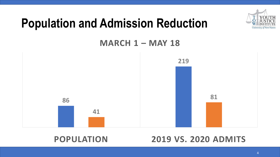

## **Population and Admission Reduction**

**MARCH 1 – MAY 18**



#### **POPULATION 2019 VS. 2020 ADMITS**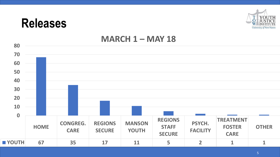## **Releases**



#### **MARCH 1 – MAY 18**

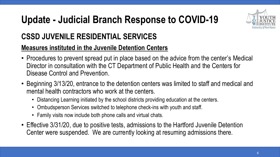

### **CSSD JUVENILE RESIDENTIAL SERVICES**

#### **Measures instituted in the Juvenile Detention Centers**

- Procedures to prevent spread put in place based on the advice from the center's Medical Director in consultation with the CT Department of Public Health and the Centers for Disease Control and Prevention.
- Beginning 3/13/20, entrance to the detention centers was limited to staff and medical and mental health contractors who work at the centers.
	- Distancing Learning initiated by the school districts providing education at the centers.
	- Ombudsperson Services switched to telephone check-ins with youth and staff.
	- Family visits now include both phone calls and virtual chats.
- Effective 3/31/20, due to positive tests, admissions to the Hartford Juvenile Detention Center were suspended. We are currently looking at resuming admissions there.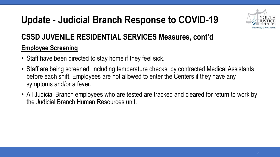

### **CSSD JUVENILE RESIDENTIAL SERVICES Measures, cont'd**

#### **Employee Screening**

- Staff have been directed to stay home if they feel sick.
- Staff are being screened, including temperature checks, by contracted Medical Assistants before each shift. Employees are not allowed to enter the Centers if they have any symptoms and/or a fever.
- All Judicial Branch employees who are tested are tracked and cleared for return to work by the Judicial Branch Human Resources unit.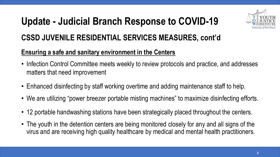

### **CSSD JUVENILE RESIDENTIAL SERVICES MEASURES, cont'd**

#### **Ensuring a safe and sanitary environment in the Centers**

- Infection Control Committee meets weekly to review protocols and practice, and addresses matters that need improvement
- Enhanced disinfecting by staff working overtime and adding maintenance staff to help.
- We are utilizing "power breezer portable misting machines" to maximize disinfecting efforts.
- 12 portable handwashing stations have been strategically placed throughout the centers.
- The youth in the detention centers are being monitored closely for any and all signs of the virus and are receiving high quality healthcare by medical and mental health practitioners.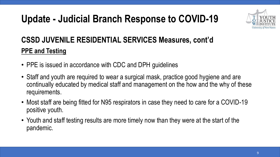

### **CSSD JUVENILE RESIDENTIAL SERVICES Measures, cont'd PPE and Testing**

- PPE is issued in accordance with CDC and DPH guidelines
- Staff and youth are required to wear a surgical mask, practice good hygiene and are continually educated by medical staff and management on the how and the why of these requirements.
- Most staff are being fitted for N95 respirators in case they need to care for a COVID-19 positive youth.
- Youth and staff testing results are more timely now than they were at the start of the pandemic.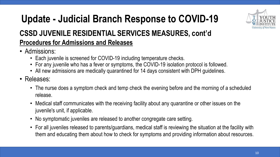

## **Update - Judicial Branch Response to COVID-19 CSSD JUVENILE RESIDENTIAL SERVICES MEASURES, cont'd Procedures for Admissions and Releases**

- Admissions:
	- Each juvenile is screened for COVID-19 including temperature checks.
	- For any juvenile who has a fever or symptoms, the COVID-19 isolation protocol is followed.
	- All new admissions are medically quarantined for 14 days consistent with DPH guidelines.
- Releases:
	- The nurse does a symptom check and temp check the evening before and the morning of a scheduled release.
	- Medical staff communicates with the receiving facility about any quarantine or other issues on the juvenile's unit, if applicable.
	- No symptomatic juveniles are released to another congregate care setting.
	- For all juveniles released to parents/guardians, medical staff is reviewing the situation at the facility with them and educating them about how to check for symptoms and providing information about resources.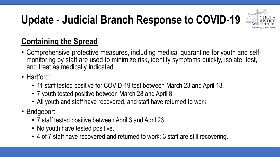

## **Containing the Spread**

- Comprehensive protective measures, including medical quarantine for youth and selfmonitoring by staff are used to minimize risk, identify symptoms quickly, isolate, test, and treat as medically indicated.
- Hartford:
	- 11 staff tested positive for COVID-19 test between March 23 and April 13.
	- 7 youth tested positive between March 28 and April 8.
	- All youth and staff have recovered, and staff have returned to work.
- Bridgeport:
	- 7 staff tested positive between April 3 and April 23.
	- No youth have tested positive.
	- 4 of 7 staff have recovered and returned to work; 3 staff are still recovering.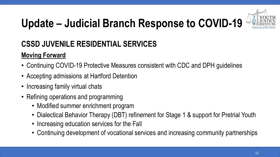

### **CSSD JUVENILE RESIDENTIAL SERVICES**

### **Moving Forward**

- Continuing COVID-19 Protective Measures consistent with CDC and DPH guidelines
- Accepting admissions at Hartford Detention
- Increasing family virtual chats
- Refining operations and programming
	- Modified summer enrichment program
	- Dialectical Behavior Therapy (DBT) refinement for Stage 1 & support for Pretrial Youth
	- Increasing education services for the Fall
	- Continuing development of vocational services and increasing community partnerships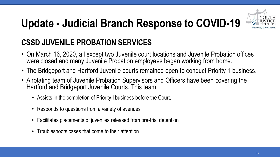

### **CSSD JUVENILE PROBATION SERVICES**

- On March 16, 2020, all except two Juvenile court locations and Juvenile Probation offices were closed and many Juvenile Probation employees began working from home.
- The Bridgeport and Hartford Juvenile courts remained open to conduct Priority 1 business.
- A rotating team of Juvenile Probation Supervisors and Officers have been covering the Hartford and Bridgeport Juvenile Courts. This team:
	- Assists in the completion of Priority I business before the Court,
	- Responds to questions from a variety of avenues
	- Facilitates placements of juveniles released from pre-trial detention
	- Troubleshoots cases that come to their attention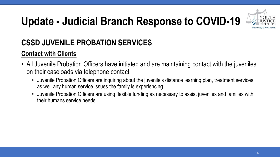

### **CSSD JUVENILE PROBATION SERVICES**

#### **Contact with Clients**

- All Juvenile Probation Officers have initiated and are maintaining contact with the juveniles on their caseloads via telephone contact.
	- Juvenile Probation Officers are inquiring about the juvenile's distance learning plan, treatment services as well any human service issues the family is experiencing.
	- Juvenile Probation Officers are using flexible funding as necessary to assist juveniles and families with their humans service needs.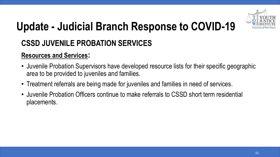

### **CSSD JUVENILE PROBATION SERVICES**

#### **Resources and Services:**

- Juvenile Probation Supervisors have developed resource lists for their specific geographic area to be provided to juveniles and families.
- Treatment referrals are being made for juveniles and families in need of services.
- Juvenile Probation Officers continue to make referrals to CSSD short term residential placements.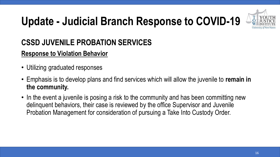

### **CSSD JUVENILE PROBATION SERVICES**

#### **Response to Violation Behavior**

- Utilizing graduated responses
- Emphasis is to develop plans and find services which will allow the juvenile to **remain in the community.**
- In the event a juvenile is posing a risk to the community and has been committing new delinquent behaviors, their case is reviewed by the office Supervisor and Juvenile Probation Management for consideration of pursuing a Take Into Custody Order.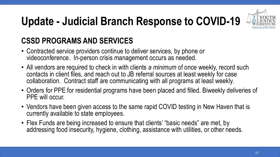

### **CSSD PROGRAMS AND SERVICES**

- Contracted service providers continue to deliver services, by phone or videoconference. In-person crisis management occurs as needed.
- All vendors are required to check in with clients *a minimum* of once weekly, record such contacts in client files, and reach out to JB referral sources at least weekly for case collaboration. Contract staff are communicating with all programs at least weekly.
- Orders for PPE for residential programs have been placed and filled. Biweekly deliveries of PPE will occur.
- Vendors have been given access to the same rapid COVID testing in New Haven that is currently available to state employees.
- Flex Funds are being increased to ensure that clients' "basic needs" are met, by addressing food insecurity, hygiene, clothing, assistance with utilities, or other needs.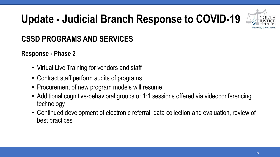

### **CSSD PROGRAMS AND SERVICES**

#### **Response - Phase 2**

- Virtual Live Training for vendors and staff
- Contract staff perform audits of programs
- Procurement of new program models will resume
- Additional cognitive-behavioral groups or 1:1 sessions offered via videoconferencing technology
- Continued development of electronic referral, data collection and evaluation, review of best practices